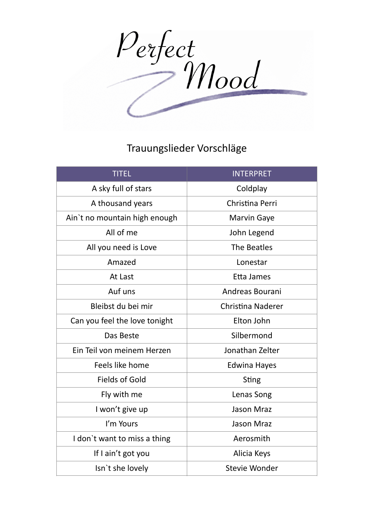Perfect<br>Mood

## Trauungslieder Vorschläge

| <b>TITEL</b>                  | <b>INTERPRET</b>         |
|-------------------------------|--------------------------|
| A sky full of stars           | Coldplay                 |
| A thousand years              | Christina Perri          |
| Ain't no mountain high enough | <b>Marvin Gaye</b>       |
| All of me                     | John Legend              |
| All you need is Love          | The Beatles              |
| Amazed                        | Lonestar                 |
| At Last                       | Etta James               |
| Auf uns                       | Andreas Bourani          |
| Bleibst du bei mir            | <b>Christina Naderer</b> |
| Can you feel the love tonight | Elton John               |
| Das Beste                     | Silbermond               |
| Ein Teil von meinem Herzen    | Jonathan Zelter          |
| Feels like home               | <b>Edwina Hayes</b>      |
| <b>Fields of Gold</b>         | <b>Sting</b>             |
| Fly with me                   | Lenas Song               |
| I won't give up               | <b>Jason Mraz</b>        |
| I'm Yours                     | <b>Jason Mraz</b>        |
| I don't want to miss a thing  | Aerosmith                |
| If I ain't got you            | Alicia Keys              |
| Isn't she lovely              | Stevie Wonder            |